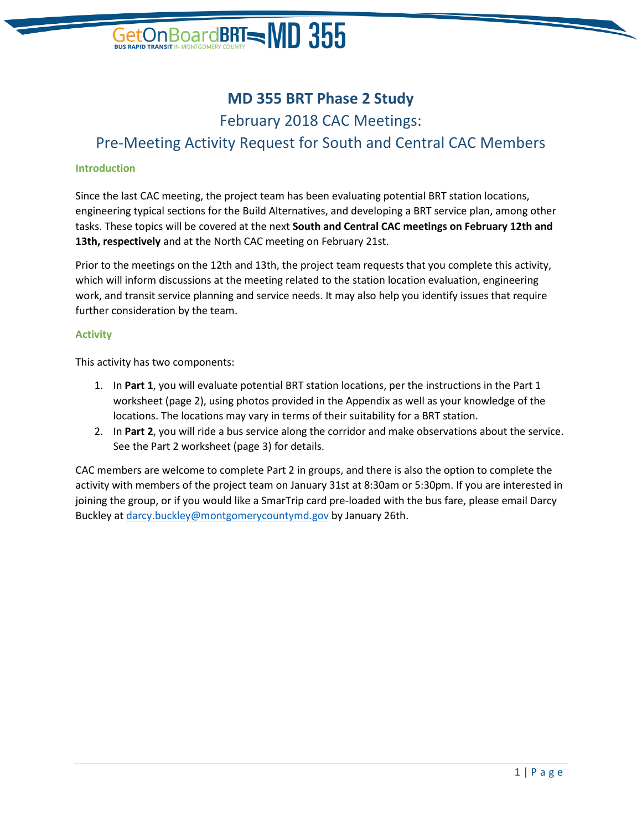# GetOn Board BRT  $\blacksquare$  MD  $355$

## **MD 355 BRT Phase 2 Study**

February 2018 CAC Meetings: Pre-Meeting Activity Request for South and Central CAC Members

#### **Introduction**

Since the last CAC meeting, the project team has been evaluating potential BRT station locations, engineering typical sections for the Build Alternatives, and developing a BRT service plan, among other tasks. These topics will be covered at the next **South and Central CAC meetings on February 12th and 13th, respectively** and at the North CAC meeting on February 21st.

Prior to the meetings on the 12th and 13th, the project team requests that you complete this activity, which will inform discussions at the meeting related to the station location evaluation, engineering work, and transit service planning and service needs. It may also help you identify issues that require further consideration by the team.

#### **Activity**

This activity has two components:

- 1. In **Part 1**, you will evaluate potential BRT station locations, per the instructions in the Part 1 worksheet (page 2), using photos provided in the Appendix as well as your knowledge of the locations. The locations may vary in terms of their suitability for a BRT station.
- 2. In **Part 2**, you will ride a bus service along the corridor and make observations about the service. See the Part 2 worksheet (page 3) for details.

CAC members are welcome to complete Part 2 in groups, and there is also the option to complete the activity with members of the project team on January 31st at 8:30am or 5:30pm. If you are interested in joining the group, or if you would like a SmarTrip card pre-loaded with the bus fare, please email Darcy Buckley at [darcy.buckley@montgomerycountymd.gov](mailto:darcy.buckley@montgomerycountymd.gov) by January 26th.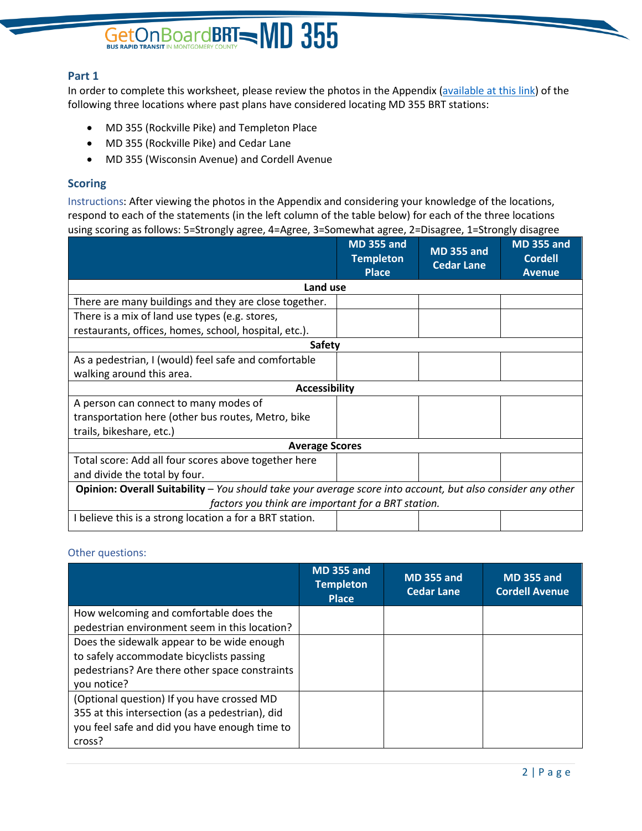# GetOn Board BRT - MD 355

### **Part 1**

In order to complete this worksheet, please review the photos in the Appendix [\(available at](http://files.constantcontact.com/9fee5db5401/6293fa2b-a661-484f-81e4-9bc20471f47a.pdf) this link) of the following three locations where past plans have considered locating MD 355 BRT stations:

- MD 355 (Rockville Pike) and Templeton Place
- MD 355 (Rockville Pike) and Cedar Lane
- MD 355 (Wisconsin Avenue) and Cordell Avenue

### **Scoring**

Instructions: After viewing the photos in the Appendix and considering your knowledge of the locations, respond to each of the statements (in the left column of the table below) for each of the three locations using scoring as follows: 5=Strongly agree, 4=Agree, 3=Somewhat agree, 2=Disagree, 1=Strongly disagree

|                                                                                                             | <b>MD 355 and</b><br><b>Templeton</b><br><b>Place</b> | <b>MD 355 and</b><br><b>Cedar Lane</b> | <b>MD 355 and</b><br><b>Cordell</b><br><b>Avenue</b> |  |
|-------------------------------------------------------------------------------------------------------------|-------------------------------------------------------|----------------------------------------|------------------------------------------------------|--|
| Land use                                                                                                    |                                                       |                                        |                                                      |  |
| There are many buildings and they are close together.                                                       |                                                       |                                        |                                                      |  |
| There is a mix of land use types (e.g. stores,                                                              |                                                       |                                        |                                                      |  |
| restaurants, offices, homes, school, hospital, etc.).                                                       |                                                       |                                        |                                                      |  |
| <b>Safety</b>                                                                                               |                                                       |                                        |                                                      |  |
| As a pedestrian, I (would) feel safe and comfortable                                                        |                                                       |                                        |                                                      |  |
| walking around this area.                                                                                   |                                                       |                                        |                                                      |  |
| <b>Accessibility</b>                                                                                        |                                                       |                                        |                                                      |  |
| A person can connect to many modes of                                                                       |                                                       |                                        |                                                      |  |
| transportation here (other bus routes, Metro, bike                                                          |                                                       |                                        |                                                      |  |
| trails, bikeshare, etc.)                                                                                    |                                                       |                                        |                                                      |  |
| <b>Average Scores</b>                                                                                       |                                                       |                                        |                                                      |  |
| Total score: Add all four scores above together here                                                        |                                                       |                                        |                                                      |  |
| and divide the total by four.                                                                               |                                                       |                                        |                                                      |  |
| Opinion: Overall Suitability - You should take your average score into account, but also consider any other |                                                       |                                        |                                                      |  |
| factors you think are important for a BRT station.                                                          |                                                       |                                        |                                                      |  |
| I believe this is a strong location a for a BRT station.                                                    |                                                       |                                        |                                                      |  |

#### Other questions:

|                                                 | <b>MD 355 and</b><br><b>Templeton</b><br><b>Place</b> | <b>MD 355 and</b><br>Cedar Lane | <b>MD 355 and</b><br><b>Cordell Avenue</b> |
|-------------------------------------------------|-------------------------------------------------------|---------------------------------|--------------------------------------------|
| How welcoming and comfortable does the          |                                                       |                                 |                                            |
| pedestrian environment seem in this location?   |                                                       |                                 |                                            |
| Does the sidewalk appear to be wide enough      |                                                       |                                 |                                            |
| to safely accommodate bicyclists passing        |                                                       |                                 |                                            |
| pedestrians? Are there other space constraints  |                                                       |                                 |                                            |
| you notice?                                     |                                                       |                                 |                                            |
| (Optional question) If you have crossed MD      |                                                       |                                 |                                            |
| 355 at this intersection (as a pedestrian), did |                                                       |                                 |                                            |
| you feel safe and did you have enough time to   |                                                       |                                 |                                            |
| cross?                                          |                                                       |                                 |                                            |